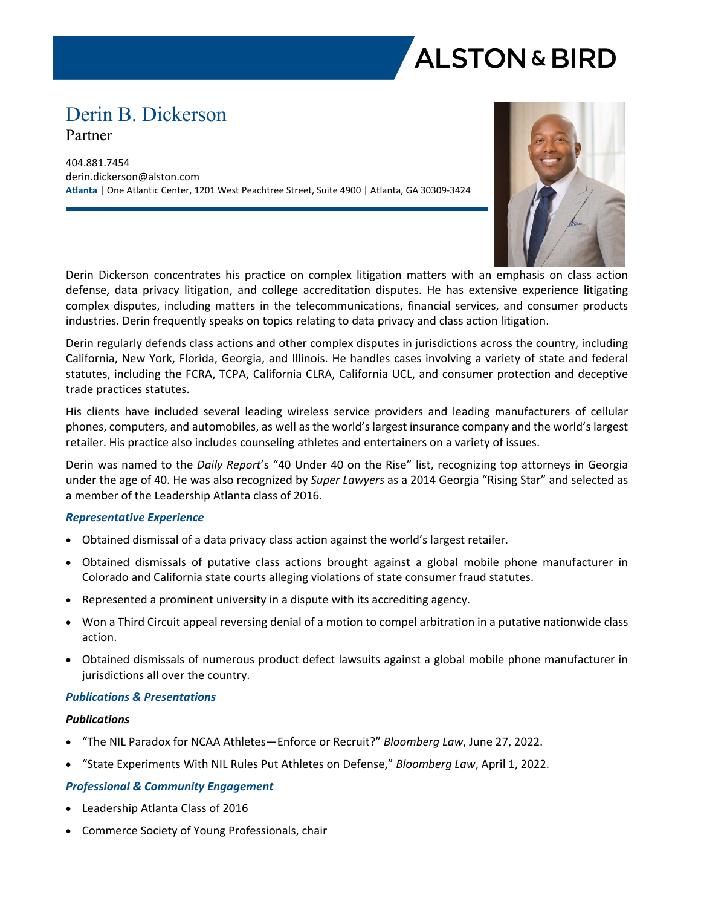

# Derin B. Dickerson Partner

404.881.7454 derin.dickerson@alston.com **Atlanta** | One Atlantic Center, 1201 West Peachtree Street, Suite 4900 | Atlanta, GA 30309-3424



Derin Dickerson concentrates his practice on complex litigation matters with an emphasis on class action defense, data privacy litigation, and college accreditation disputes. He has extensive experience litigating complex disputes, including matters in the telecommunications, financial services, and consumer products industries. Derin frequently speaks on topics relating to data privacy and class action litigation.

Derin regularly defends class actions and other complex disputes in jurisdictions across the country, including California, New York, Florida, Georgia, and Illinois. He handles cases involving a variety of state and federal statutes, including the FCRA, TCPA, California CLRA, California UCL, and consumer protection and deceptive trade practices statutes.

His clients have included several leading wireless service providers and leading manufacturers of cellular phones, computers, and automobiles, as well as the world's largest insurance company and the world's largest retailer. His practice also includes counseling athletes and entertainers on a variety of issues.

Derin was named to the *Daily Report*'s "40 Under 40 on the Rise" list, recognizing top attorneys in Georgia under the age of 40. He was also recognized by *Super Lawyers* as a 2014 Georgia "Rising Star" and selected as a member of the Leadership Atlanta class of 2016.

# *Representative Experience*

- Obtained dismissal of a data privacy class action against the world's largest retailer.
- Obtained dismissals of putative class actions brought against a global mobile phone manufacturer in Colorado and California state courts alleging violations of state consumer fraud statutes.
- Represented a prominent university in a dispute with its accrediting agency.
- Won a Third Circuit appeal reversing denial of a motion to compel arbitration in a putative nationwide class action.
- Obtained dismissals of numerous product defect lawsuits against a global mobile phone manufacturer in jurisdictions all over the country.

### *Publications & Presentations*

### *Publications*

- "The NIL Paradox for NCAA Athletes—Enforce or Recruit?" *Bloomberg Law*, June 27, 2022.
- "State Experiments With NIL Rules Put Athletes on Defense," *Bloomberg Law*, April 1, 2022.

# *Professional & Community Engagement*

- Leadership Atlanta Class of 2016
- Commerce Society of Young Professionals, chair